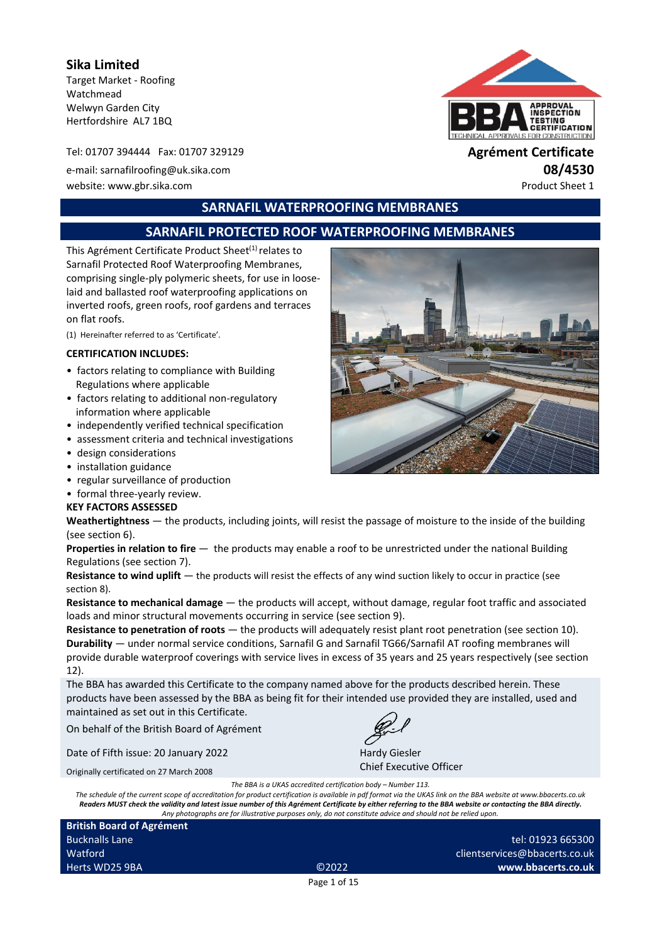**Sika Limited** Target Market - Roofing Watchmead Welwyn Garden City Hertfordshire AL7 1BQ

Tel: 01707 394444 Fax: 01707 329129 **Agrément Certificate**

e-mail: sarnafilroofing@uk.sika.com **08/4530** website: www.gbr.sika.com ethnology and the example of the example of the example of the example of the example of the example of the example of the example of the example of the example of the example of the example of th



**SARNAFIL WATERPROOFING MEMBRANES**

# **SARNAFIL PROTECTED ROOF WATERPROOFING MEMBRANES**

This Agrément Certificate Product Sheet<sup>(1)</sup> relates to Sarnafil Protected Roof Waterproofing Membranes, comprising single-ply polymeric sheets, for use in looselaid and ballasted roof waterproofing applications on inverted roofs, green roofs, roof gardens and terraces on flat roofs.

(1) Hereinafter referred to as 'Certificate'.

#### **CERTIFICATION INCLUDES:**

- factors relating to compliance with Building Regulations where applicable
- factors relating to additional non-regulatory information where applicable
- independently verified technical specification
- assessment criteria and technical investigations
- design considerations
- installation guidance
- regular surveillance of production
- formal three-yearly review.

#### **KEY FACTORS ASSESSED**

**Weathertightness** — the products, including joints, will resist the passage of moisture to the inside of the building (see section 6).

**Properties in relation to fire**  $-$  the products may enable a roof to be unrestricted under the national Building Regulations (see section 7).

**Resistance to wind uplift** — the products will resist the effects of any wind suction likely to occur in practice (see section 8).

**Resistance to mechanical damage** — the products will accept, without damage, regular foot traffic and associated loads and minor structural movements occurring in service (see section 9).

**Resistance to penetration of roots** — the products will adequately resist plant root penetration (see section 10). **Durability** — under normal service conditions, Sarnafil G and Sarnafil TG66/Sarnafil AT roofing membranes will provide durable waterproof coverings with service lives in excess of 35 years and 25 years respectively (see section 12).

The BBA has awarded this Certificate to the company named above for the products described herein. These products have been assessed by the BBA as being fit for their intended use provided they are installed, used and maintained as set out in this Certificate.

On behalf of the British Board of Agrément

Date of Fifth issue: 20 January 2022

Originally certificated on 27 March 2008

Hardy Giesler Chief Executive Officer

*The BBA is a UKAS accredited certification body – Number 113.*

*The schedule of the current scope of accreditation for product certification is available in pdf format via the UKAS link on the BBA website at www.bbacerts.co.uk Readers MUST check the validity and latest issue number of this Agrément Certificate by either referring to the BBA website or contacting the BBA directly. Any photographs are for illustrative purposes only, do not constitute advice and should not be relied upon.*

| <b>British Board of Agrément</b> |                   |  |
|----------------------------------|-------------------|--|
| <b>Bucknalls Lane</b>            |                   |  |
| Watford                          |                   |  |
| Herts WD25 9BA                   | C <sub>2022</sub> |  |

tel: 01923 665300 clientservices@bbacerts.co.uk **www.bbacerts.co.uk**

Page 1 of 15

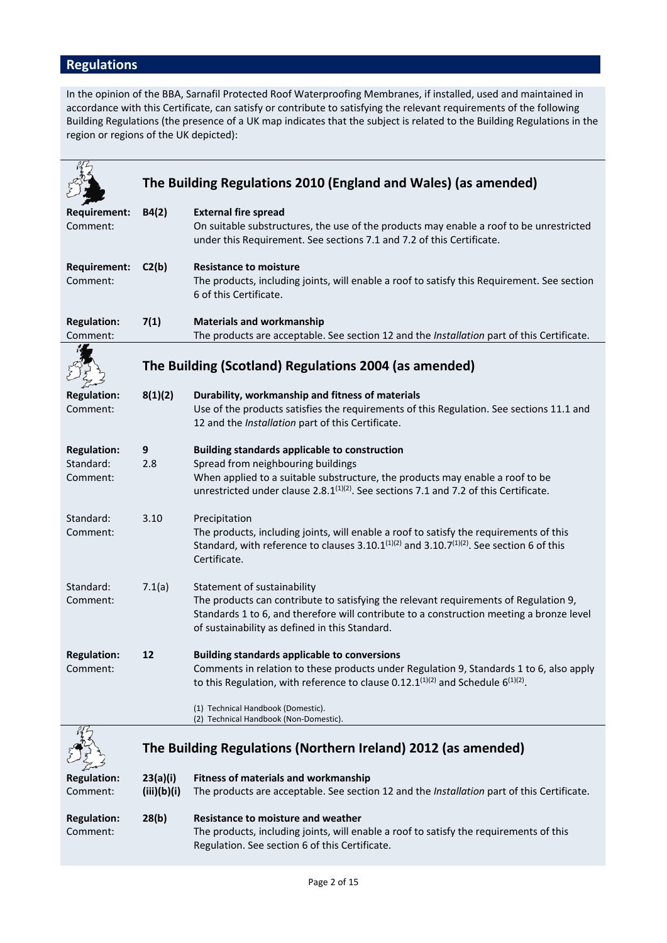# **Regulations**

In the opinion of the BBA, Sarnafil Protected Roof Waterproofing Membranes, if installed, used and maintained in accordance with this Certificate, can satisfy or contribute to satisfying the relevant requirements of the following Building Regulations (the presence of a UK map indicates that the subject is related to the Building Regulations in the region or regions of the UK depicted):

|                                             |                         | The Building Regulations 2010 (England and Wales) (as amended)                                                                                                                                                                                                            |
|---------------------------------------------|-------------------------|---------------------------------------------------------------------------------------------------------------------------------------------------------------------------------------------------------------------------------------------------------------------------|
|                                             |                         |                                                                                                                                                                                                                                                                           |
| Requirement:<br>Comment:                    | B4(2)                   | <b>External fire spread</b><br>On suitable substructures, the use of the products may enable a roof to be unrestricted<br>under this Requirement. See sections 7.1 and 7.2 of this Certificate.                                                                           |
| <b>Requirement:</b><br>Comment:             | C2(b)                   | <b>Resistance to moisture</b><br>The products, including joints, will enable a roof to satisfy this Requirement. See section<br>6 of this Certificate.                                                                                                                    |
| <b>Regulation:</b><br>Comment:              | 7(1)                    | <b>Materials and workmanship</b><br>The products are acceptable. See section 12 and the Installation part of this Certificate.                                                                                                                                            |
|                                             |                         | The Building (Scotland) Regulations 2004 (as amended)                                                                                                                                                                                                                     |
| <b>Regulation:</b><br>Comment:              | 8(1)(2)                 | Durability, workmanship and fitness of materials<br>Use of the products satisfies the requirements of this Regulation. See sections 11.1 and<br>12 and the Installation part of this Certificate.                                                                         |
| <b>Regulation:</b><br>Standard:<br>Comment: | 9<br>2.8                | <b>Building standards applicable to construction</b><br>Spread from neighbouring buildings<br>When applied to a suitable substructure, the products may enable a roof to be<br>unrestricted under clause $2.8.1^{(1)(2)}$ . See sections 7.1 and 7.2 of this Certificate. |
| Standard:<br>Comment:                       | 3.10                    | Precipitation<br>The products, including joints, will enable a roof to satisfy the requirements of this<br>Standard, with reference to clauses 3.10.1 $(1)(2)$ and 3.10.7 $(1)(2)$ . See section 6 of this<br>Certificate.                                                |
| Standard:<br>Comment:                       | 7.1(a)                  | Statement of sustainability<br>The products can contribute to satisfying the relevant requirements of Regulation 9,<br>Standards 1 to 6, and therefore will contribute to a construction meeting a bronze level<br>of sustainability as defined in this Standard.         |
| <b>Regulation:</b><br>Comment:              | 12                      | <b>Building standards applicable to conversions</b><br>Comments in relation to these products under Regulation 9, Standards 1 to 6, also apply<br>to this Regulation, with reference to clause 0.12.1 $(1)(2)$ and Schedule 6 $(1)(2)$ .                                  |
|                                             |                         | (1) Technical Handbook (Domestic).<br>(2) Technical Handbook (Non-Domestic).                                                                                                                                                                                              |
|                                             |                         | The Building Regulations (Northern Ireland) 2012 (as amended)                                                                                                                                                                                                             |
| <b>Regulation:</b><br>Comment:              | 23(a)(i)<br>(iii)(b)(i) | <b>Fitness of materials and workmanship</b><br>The products are acceptable. See section 12 and the Installation part of this Certificate.                                                                                                                                 |
| <b>Regulation:</b><br>Comment:              | 28(b)                   | <b>Resistance to moisture and weather</b><br>The products, including joints, will enable a roof to satisfy the requirements of this<br>Regulation. See section 6 of this Certificate.                                                                                     |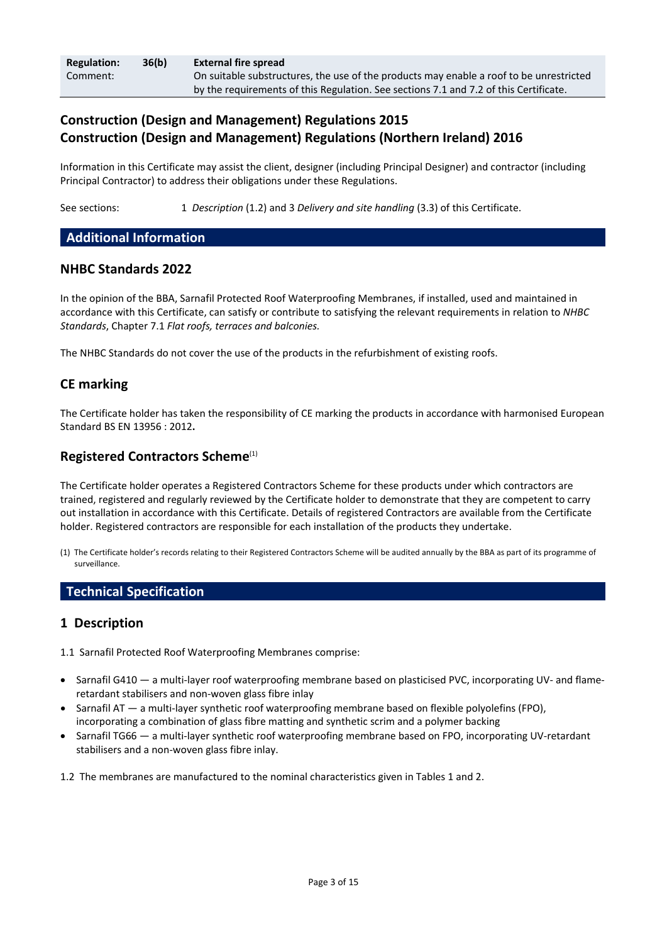| <b>Regulation:</b> | 36(b) | <b>External fire spread</b>                                                             |
|--------------------|-------|-----------------------------------------------------------------------------------------|
| Comment:           |       | On suitable substructures, the use of the products may enable a roof to be unrestricted |
|                    |       | by the requirements of this Regulation. See sections 7.1 and 7.2 of this Certificate.   |

# **Construction (Design and Management) Regulations 2015 Construction (Design and Management) Regulations (Northern Ireland) 2016**

Information in this Certificate may assist the client, designer (including Principal Designer) and contractor (including Principal Contractor) to address their obligations under these Regulations.

See sections: 1 *Description* (1.2) and 3 *Delivery and site handling* (3.3) of this Certificate.

### **Additional Information**

#### **NHBC Standards 2022**

In the opinion of the BBA, Sarnafil Protected Roof Waterproofing Membranes, if installed, used and maintained in accordance with this Certificate, can satisfy or contribute to satisfying the relevant requirements in relation to *NHBC Standards*, Chapter 7.1 *Flat roofs, terraces and balconies.*

The NHBC Standards do not cover the use of the products in the refurbishment of existing roofs.

### **CE marking**

The Certificate holder has taken the responsibility of CE marking the products in accordance with harmonised European Standard BS EN 13956 : 2012**.**

### **Registered Contractors Scheme**(1)

The Certificate holder operates a Registered Contractors Scheme for these products under which contractors are trained, registered and regularly reviewed by the Certificate holder to demonstrate that they are competent to carry out installation in accordance with this Certificate. Details of registered Contractors are available from the Certificate holder. Registered contractors are responsible for each installation of the products they undertake.

(1) The Certificate holder's records relating to their Registered Contractors Scheme will be audited annually by the BBA as part of its programme of surveillance.

### **Technical Specification**

### **1 Description**

1.1 Sarnafil Protected Roof Waterproofing Membranes comprise:

- Sarnafil G410 a multi-layer roof waterproofing membrane based on plasticised PVC, incorporating UV- and flameretardant stabilisers and non-woven glass fibre inlay
- Sarnafil AT a multi-layer synthetic roof waterproofing membrane based on flexible polyolefins (FPO), incorporating a combination of glass fibre matting and synthetic scrim and a polymer backing
- Sarnafil TG66 a multi-layer synthetic roof waterproofing membrane based on FPO, incorporating UV-retardant stabilisers and a non-woven glass fibre inlay.

1.2 The membranes are manufactured to the nominal characteristics given in Tables 1 and 2.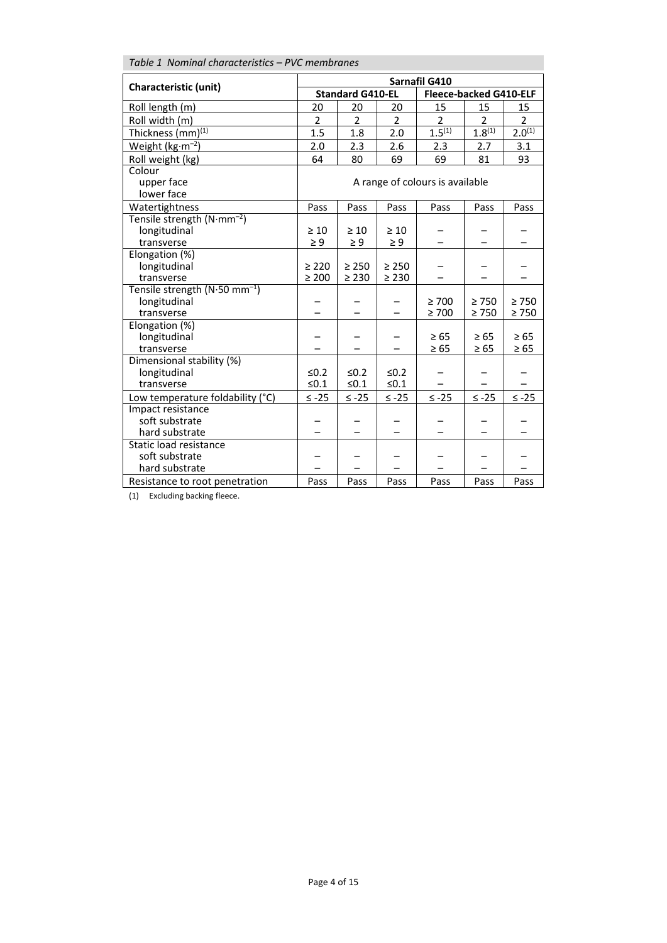| Table 1 Nominal characteristics - PVC membranes |                         |                |                               |                                 |             |                |
|-------------------------------------------------|-------------------------|----------------|-------------------------------|---------------------------------|-------------|----------------|
|                                                 | Sarnafil G410           |                |                               |                                 |             |                |
| <b>Characteristic (unit)</b>                    | <b>Standard G410-EL</b> |                | <b>Fleece-backed G410-ELF</b> |                                 |             |                |
| Roll length (m)                                 | 20                      | 20             | 20                            | 15                              | 15          | 15             |
| Roll width (m)                                  | $\overline{2}$          | $\overline{2}$ | $\overline{2}$                | $\overline{2}$                  | 2           | $\overline{2}$ |
| Thickness (mm) <sup>(1)</sup>                   | 1.5                     | 1.8            | 2.0                           | $1.5^{(1)}$                     | $1.8^{(1)}$ | $2.0^{(1)}$    |
| Weight ( $kg·m-2$ )                             | 2.0                     | 2.3            | 2.6                           | 2.3                             | 2.7         | 3.1            |
| Roll weight (kg)                                | 64                      | 80             | 69                            | 69                              | 81          | 93             |
| Colour                                          |                         |                |                               |                                 |             |                |
| upper face                                      |                         |                |                               | A range of colours is available |             |                |
| lower face                                      |                         |                |                               |                                 |             |                |
| Watertightness                                  | Pass                    | Pass           | Pass                          | Pass                            | Pass        | Pass           |
| Tensile strength (N·mm <sup>-2</sup> )          |                         |                |                               |                                 |             |                |
| longitudinal                                    | $\geq 10$               | $\geq 10$      | $\geq 10$                     |                                 |             |                |
| transverse                                      | $\geq 9$                | $\geq 9$       | $\geq 9$                      |                                 |             |                |
| Elongation (%)                                  |                         |                |                               |                                 |             |                |
| longitudinal                                    | $\geq 220$              | $\geq 250$     | $\geq 250$                    |                                 |             |                |
| transverse                                      | $\geq 200$              | $\geq 230$     | $\geq 230$                    |                                 |             |                |
| Tensile strength $(N.50 \text{ mm}^{-1})$       |                         |                |                               | $\geq 700$                      | $\geq 750$  | $\geq 750$     |
| longitudinal<br>transverse                      |                         |                |                               | $\geq 700$                      | $\geq 750$  | $\geq 750$     |
| Elongation (%)                                  |                         |                |                               |                                 |             |                |
| longitudinal                                    |                         |                |                               | $\geq 65$                       | $\geq 65$   | $\geq 65$      |
| transverse                                      |                         |                |                               | $\geq 65$                       | $\geq 65$   | $\geq 65$      |
| Dimensional stability (%)                       |                         |                |                               |                                 |             |                |
| longitudinal                                    | $≤0.2$                  | $\leq 0.2$     | $≤0.2$                        |                                 |             |                |
| transverse                                      | $≤0.1$                  | $≤0.1$         | $≤0.1$                        |                                 |             |                |
| Low temperature foldability (°C)                | $\leq -25$              | $≤ -25$        | $≤ -25$                       | $\leq$ -25                      | $≤ -25$     | $\leq$ -25     |
| Impact resistance                               |                         |                |                               |                                 |             |                |
| soft substrate                                  |                         |                |                               |                                 |             |                |
| hard substrate                                  |                         |                |                               |                                 |             |                |
| Static load resistance                          |                         |                |                               |                                 |             |                |
| soft substrate                                  |                         |                |                               |                                 |             |                |
| hard substrate                                  |                         |                |                               |                                 |             |                |
| Resistance to root penetration                  | Pass                    | Pass           | Pass                          | Pass                            | Pass        | Pass           |

 $\overline{(1)}$  Excluding backing fleece.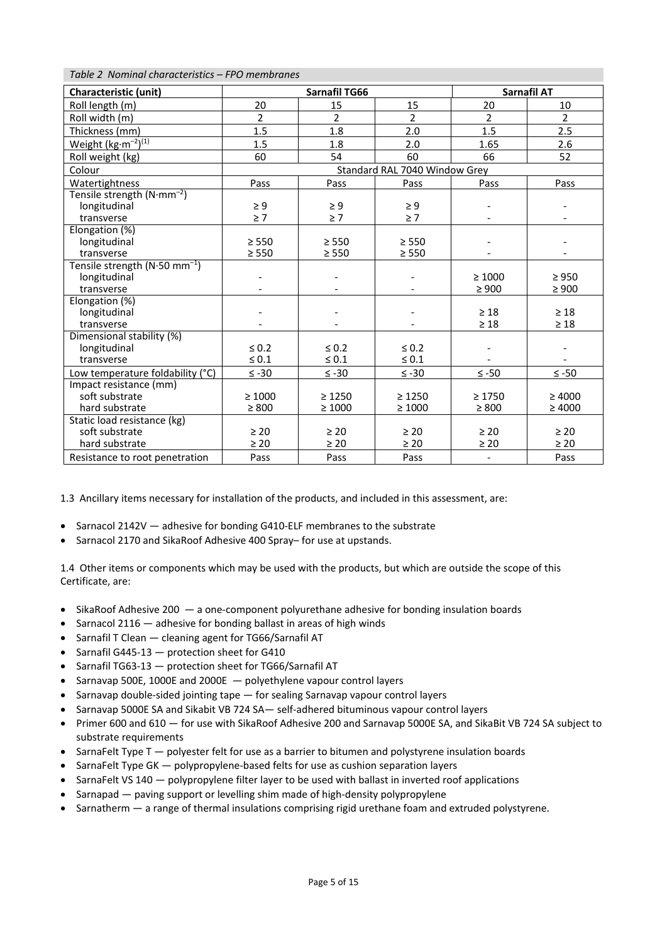#### *Table 2 Nominal characteristics – FPO membranes*

| <b>Characteristic (unit)</b>              |                               | Sarnafil TG66  | Sarnafil AT    |                          |                |
|-------------------------------------------|-------------------------------|----------------|----------------|--------------------------|----------------|
| Roll length (m)                           | 20                            | 15             | 15             | 20                       | 10             |
| Roll width (m)                            | $\overline{2}$                | $\overline{2}$ | $\overline{2}$ | $\overline{2}$           | $\overline{2}$ |
| Thickness (mm)                            | 1.5                           | 1.8            | 2.0            | 1.5                      | 2.5            |
| Weight $(kg·m^{-2})^{(1)}$                | 1.5                           | 1.8            | 2.0            | 1.65                     | 2.6            |
| Roll weight (kg)                          | 60                            | 54             | 60             | 66                       | 52             |
| Colour                                    | Standard RAL 7040 Window Grey |                |                |                          |                |
| Watertightness                            | Pass                          | Pass           | Pass           | Pass                     | Pass           |
| Tensile strength $(N\cdot mm^{-2})$       |                               |                |                |                          |                |
| longitudinal                              | $\geq 9$                      | $\geq 9$       | $\geq 9$       |                          |                |
| transverse                                | $\geq 7$                      | $\geq 7$       | $\geq 7$       |                          |                |
| Elongation (%)                            |                               |                |                |                          |                |
| longitudinal                              | $\geq 550$                    | $\geq 550$     | $\geq$ 550     |                          |                |
| transverse                                | $\geq 550$                    | $\geq$ 550     | $\geq$ 550     |                          |                |
| Tensile strength (N.50 mm <sup>-1</sup> ) |                               |                |                |                          |                |
| longitudinal                              |                               |                |                | $\geq 1000$              | $\geq 950$     |
| transverse                                |                               |                |                | $\geq 900$               | $\geq 900$     |
| Elongation (%)                            |                               |                |                |                          |                |
| longitudinal                              |                               |                |                | $\geq 18$                | $\geq 18$      |
| transverse                                |                               |                |                | $\geq 18$                | $\geq 18$      |
| Dimensional stability (%)                 |                               |                |                |                          |                |
| longitudinal                              | $\leq 0.2$                    | $\leq 0.2$     | $\leq 0.2$     |                          |                |
| transverse                                | $\leq 0.1$                    | $\leq 0.1$     | $\leq 0.1$     |                          |                |
| Low temperature foldability (°C)          | $\leq -30$                    | $≤ -30$        | $\leq -30$     | $≤ -50$                  | $≤ -50$        |
| Impact resistance (mm)                    |                               |                |                |                          |                |
| soft substrate                            | $\geq 1000$                   | $\geq 1250$    | $\geq 1250$    | $\geq 1750$              | $\geq 4000$    |
| hard substrate                            | $\geq 800$                    | $\geq 1000$    | $\geq 1000$    | $\geq 800$               | $\geq 4000$    |
| Static load resistance (kg)               |                               |                |                |                          |                |
| soft substrate                            | $\geq 20$                     | $\geq 20$      | $\geq 20$      | $\geq 20$                | $\geq 20$      |
| hard substrate                            | $\geq 20$                     | $\geq 20$      | $\geq 20$      | $\geq 20$                | $\geq 20$      |
| Resistance to root penetration            | Pass                          | Pass           | Pass           | $\overline{\phantom{a}}$ | Pass           |

1.3 Ancillary items necessary for installation of the products, and included in this assessment, are:

- Sarnacol 2142V adhesive for bonding G410-ELF membranes to the substrate
- Sarnacol 2170 and SikaRoof Adhesive 400 Spray– for use at upstands.

1.4 Other items or components which may be used with the products, but which are outside the scope of this Certificate, are:

- SikaRoof Adhesive 200 a one-component polyurethane adhesive for bonding insulation boards
- Sarnacol 2116 adhesive for bonding ballast in areas of high winds
- Sarnafil T Clean cleaning agent for TG66/Sarnafil AT
- Sarnafil G445-13 protection sheet for G410
- Sarnafil TG63-13 protection sheet for TG66/Sarnafil AT
- Sarnavap 500E, 1000E and 2000E polyethylene vapour control layers
- Sarnavap double-sided jointing tape for sealing Sarnavap vapour control layers
- Sarnavap 5000E SA and Sikabit VB 724 SA— self-adhered bituminous vapour control layers
- Primer 600 and 610 for use with SikaRoof Adhesive 200 and Sarnavap 5000E SA, and SikaBit VB 724 SA subject to substrate requirements
- SarnaFelt Type T polyester felt for use as a barrier to bitumen and polystyrene insulation boards
- SarnaFelt Type GK polypropylene-based felts for use as cushion separation layers
- SarnaFelt VS 140 polypropylene filter layer to be used with ballast in inverted roof applications
- Sarnapad paving support or levelling shim made of high-density polypropylene
- Sarnatherm a range of thermal insulations comprising rigid urethane foam and extruded polystyrene.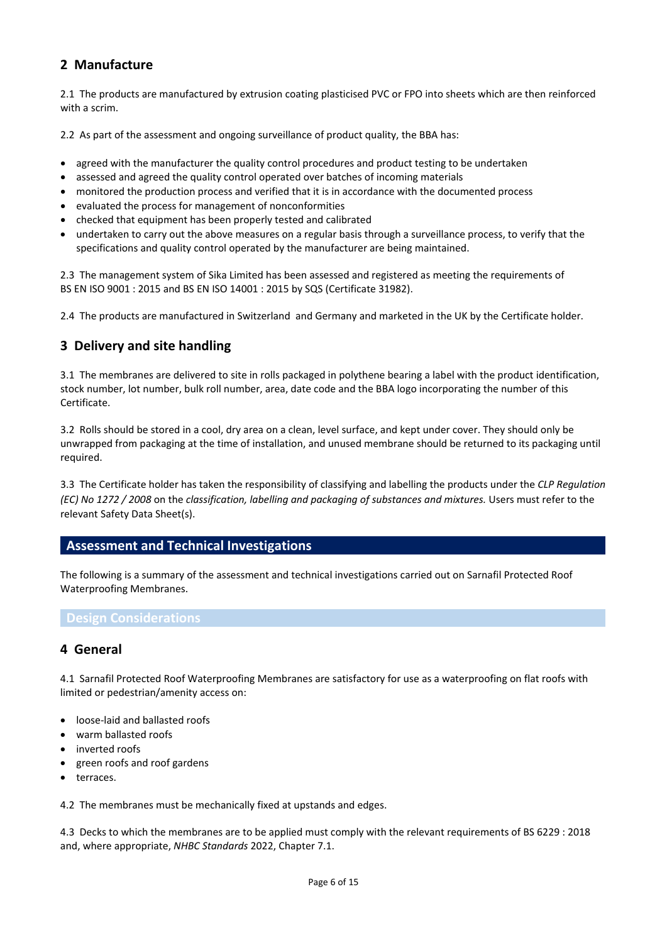# **2 Manufacture**

2.1 The products are manufactured by extrusion coating plasticised PVC or FPO into sheets which are then reinforced with a scrim.

2.2 As part of the assessment and ongoing surveillance of product quality, the BBA has:

- agreed with the manufacturer the quality control procedures and product testing to be undertaken
- assessed and agreed the quality control operated over batches of incoming materials
- monitored the production process and verified that it is in accordance with the documented process
- evaluated the process for management of nonconformities
- checked that equipment has been properly tested and calibrated
- undertaken to carry out the above measures on a regular basis through a surveillance process, to verify that the specifications and quality control operated by the manufacturer are being maintained.

2.3 The management system of Sika Limited has been assessed and registered as meeting the requirements of BS EN ISO 9001 : 2015 and BS EN ISO 14001 : 2015 by SQS (Certificate 31982).

2.4 The products are manufactured in Switzerland and Germany and marketed in the UK by the Certificate holder.

# **3 Delivery and site handling**

3.1 The membranes are delivered to site in rolls packaged in polythene bearing a label with the product identification, stock number, lot number, bulk roll number, area, date code and the BBA logo incorporating the number of this Certificate.

3.2 Rolls should be stored in a cool, dry area on a clean, level surface, and kept under cover. They should only be unwrapped from packaging at the time of installation, and unused membrane should be returned to its packaging until required.

3.3 The Certificate holder has taken the responsibility of classifying and labelling the products under the *CLP Regulation (EC) No 1272 / 2008* on the *classification, labelling and packaging of substances and mixtures.* Users must refer to the relevant Safety Data Sheet(s).

### **Assessment and Technical Investigations**

The following is a summary of the assessment and technical investigations carried out on Sarnafil Protected Roof Waterproofing Membranes.

#### **Design Considerations**

### **4 General**

4.1 Sarnafil Protected Roof Waterproofing Membranes are satisfactory for use as a waterproofing on flat roofs with limited or pedestrian/amenity access on:

- loose-laid and ballasted roofs
- warm ballasted roofs
- inverted roofs
- green roofs and roof gardens
- terraces.

4.2 The membranes must be mechanically fixed at upstands and edges.

4.3 Decks to which the membranes are to be applied must comply with the relevant requirements of BS 6229 : 2018 and, where appropriate, *NHBC Standards* 2022, Chapter 7.1.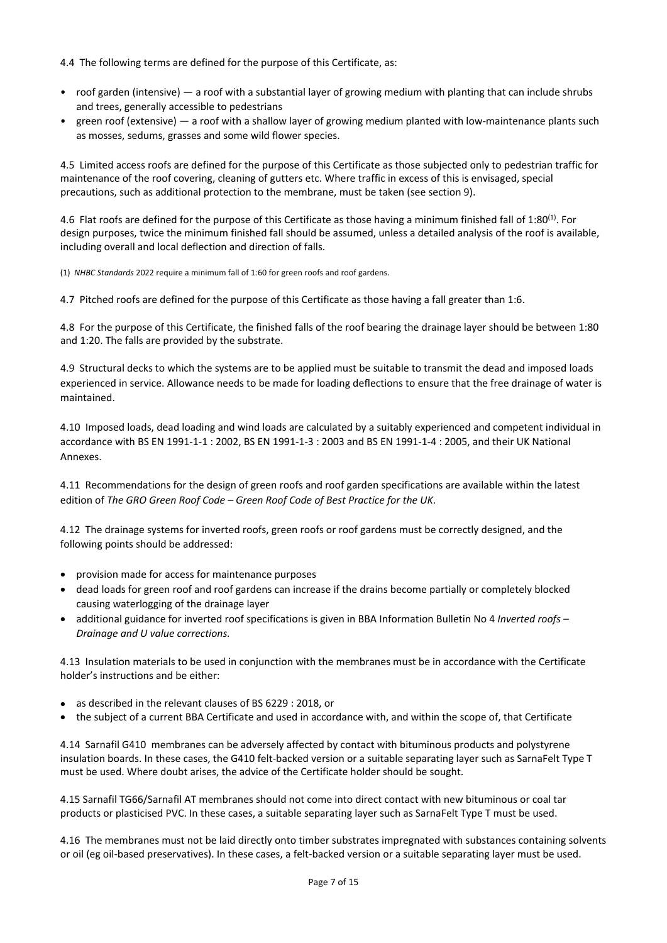#### 4.4 The following terms are defined for the purpose of this Certificate, as:

- roof garden (intensive) a roof with a substantial layer of growing medium with planting that can include shrubs and trees, generally accessible to pedestrians
- green roof (extensive) a roof with a shallow layer of growing medium planted with low-maintenance plants such as mosses, sedums, grasses and some wild flower species.

4.5 Limited access roofs are defined for the purpose of this Certificate as those subjected only to pedestrian traffic for maintenance of the roof covering, cleaning of gutters etc. Where traffic in excess of this is envisaged, special precautions, such as additional protection to the membrane, must be taken (see section 9).

4.6 Flat roofs are defined for the purpose of this Certificate as those having a minimum finished fall of 1:80<sup>(1)</sup>. For design purposes, twice the minimum finished fall should be assumed, unless a detailed analysis of the roof is available, including overall and local deflection and direction of falls.

(1) *NHBC Standards* 2022 require a minimum fall of 1:60 for green roofs and roof gardens.

4.7 Pitched roofs are defined for the purpose of this Certificate as those having a fall greater than 1:6.

4.8 For the purpose of this Certificate, the finished falls of the roof bearing the drainage layer should be between 1:80 and 1:20. The falls are provided by the substrate.

4.9 Structural decks to which the systems are to be applied must be suitable to transmit the dead and imposed loads experienced in service. Allowance needs to be made for loading deflections to ensure that the free drainage of water is maintained.

4.10 Imposed loads, dead loading and wind loads are calculated by a suitably experienced and competent individual in accordance with BS EN 1991-1-1 : 2002, BS EN 1991-1-3 : 2003 and BS EN 1991-1-4 : 2005, and their UK National Annexes.

4.11 Recommendations for the design of green roofs and roof garden specifications are available within the latest edition of *The GRO Green Roof Code – Green Roof Code of Best Practice for the UK*.

4.12 The drainage systems for inverted roofs, green roofs or roof gardens must be correctly designed, and the following points should be addressed:

- provision made for access for maintenance purposes
- dead loads for green roof and roof gardens can increase if the drains become partially or completely blocked causing waterlogging of the drainage layer
- additional guidance for inverted roof specifications is given in BBA Information Bulletin No 4 *Inverted roofs – Drainage and U value corrections.*

4.13 Insulation materials to be used in conjunction with the membranes must be in accordance with the Certificate holder's instructions and be either:

- as described in the relevant clauses of BS 6229 : 2018, or
- the subject of a current BBA Certificate and used in accordance with, and within the scope of, that Certificate

4.14 Sarnafil G410 membranes can be adversely affected by contact with bituminous products and polystyrene insulation boards. In these cases, the G410 felt-backed version or a suitable separating layer such as SarnaFelt Type T must be used. Where doubt arises, the advice of the Certificate holder should be sought.

4.15 Sarnafil TG66/Sarnafil AT membranes should not come into direct contact with new bituminous or coal tar products or plasticised PVC. In these cases, a suitable separating layer such as SarnaFelt Type T must be used.

4.16 The membranes must not be laid directly onto timber substrates impregnated with substances containing solvents or oil (eg oil-based preservatives). In these cases, a felt-backed version or a suitable separating layer must be used.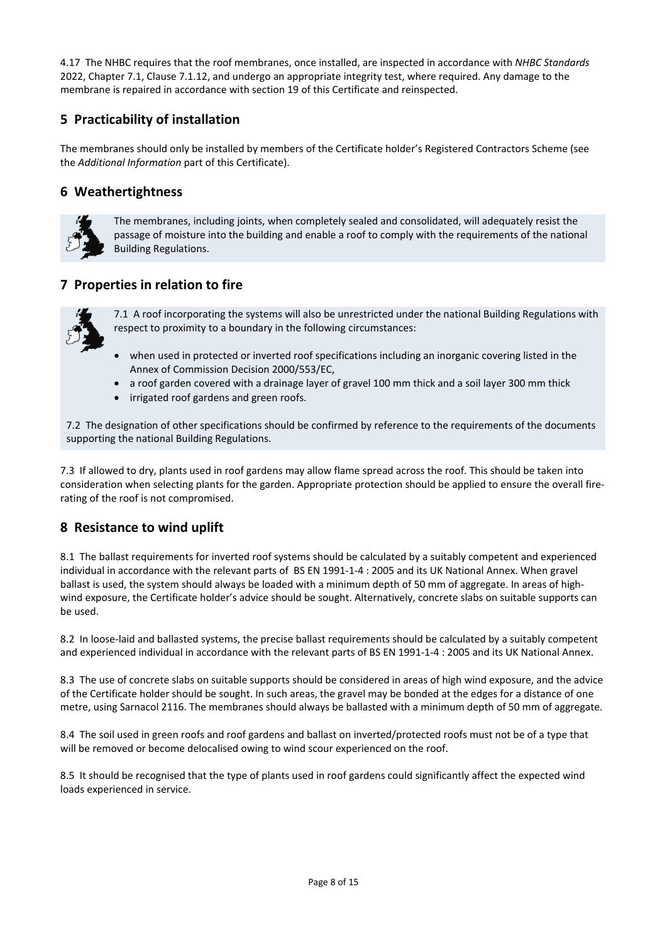4.17 The NHBC requires that the roof membranes, once installed, are inspected in accordance with *NHBC Standards* 2022, Chapter 7.1, Clause 7.1.12, and undergo an appropriate integrity test, where required. Any damage to the membrane is repaired in accordance with section 19 of this Certificate and reinspected.

# **5 Practicability of installation**

The membranes should only be installed by members of the Certificate holder's Registered Contractors Scheme (see the *Additional Information* part of this Certificate).

# **6 Weathertightness**



The membranes, including joints, when completely sealed and consolidated, will adequately resist the passage of moisture into the building and enable a roof to comply with the requirements of the national Building Regulations.

# **7 Properties in relation to fire**



7.1 A roof incorporating the systems will also be unrestricted under the national Building Regulations with respect to proximity to a boundary in the following circumstances:

- when used in protected or inverted roof specifications including an inorganic covering listed in the Annex of Commission Decision 2000/553/EC,
- a roof garden covered with a drainage layer of gravel 100 mm thick and a soil layer 300 mm thick
- irrigated roof gardens and green roofs.

7.2 The designation of other specifications should be confirmed by reference to the requirements of the documents supporting the national Building Regulations.

7.3 If allowed to dry, plants used in roof gardens may allow flame spread across the roof. This should be taken into consideration when selecting plants for the garden. Appropriate protection should be applied to ensure the overall firerating of the roof is not compromised.

# **8 Resistance to wind uplift**

8.1 The ballast requirements for inverted roof systems should be calculated by a suitably competent and experienced individual in accordance with the relevant parts of BS EN 1991-1-4 : 2005 and its UK National Annex. When gravel ballast is used, the system should always be loaded with a minimum depth of 50 mm of aggregate. In areas of highwind exposure, the Certificate holder's advice should be sought. Alternatively, concrete slabs on suitable supports can be used.

8.2 In loose-laid and ballasted systems, the precise ballast requirements should be calculated by a suitably competent and experienced individual in accordance with the relevant parts of BS EN 1991-1-4 : 2005 and its UK National Annex.

8.3 The use of concrete slabs on suitable supports should be considered in areas of high wind exposure, and the advice of the Certificate holder should be sought. In such areas, the gravel may be bonded at the edges for a distance of one metre, using Sarnacol 2116. The membranes should always be ballasted with a minimum depth of 50 mm of aggregate.

8.4 The soil used in green roofs and roof gardens and ballast on inverted/protected roofs must not be of a type that will be removed or become delocalised owing to wind scour experienced on the roof.

8.5 It should be recognised that the type of plants used in roof gardens could significantly affect the expected wind loads experienced in service.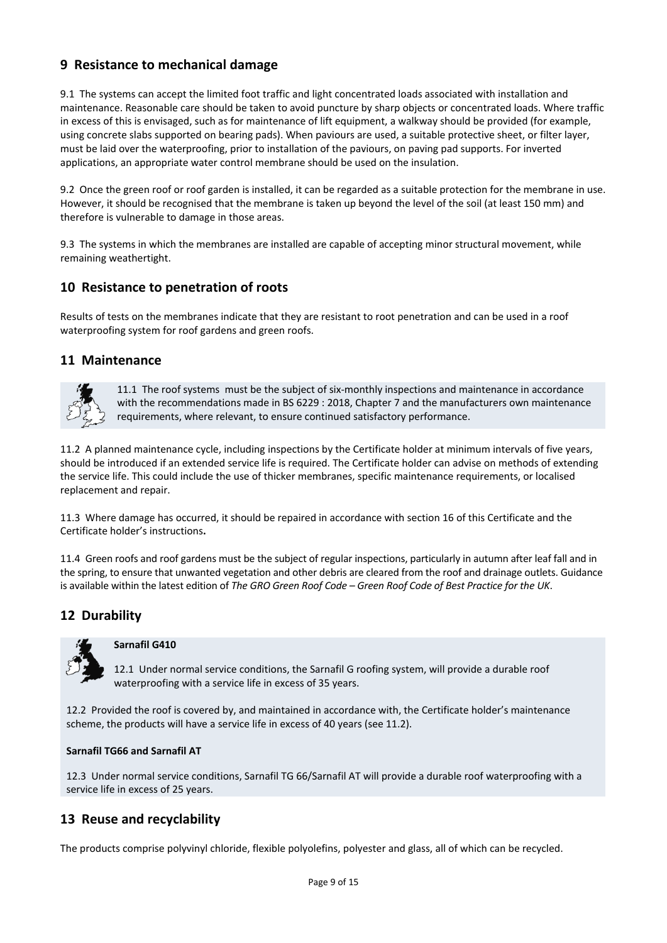# **9 Resistance to mechanical damage**

9.1 The systems can accept the limited foot traffic and light concentrated loads associated with installation and maintenance. Reasonable care should be taken to avoid puncture by sharp objects or concentrated loads. Where traffic in excess of this is envisaged, such as for maintenance of lift equipment, a walkway should be provided (for example, using concrete slabs supported on bearing pads). When paviours are used, a suitable protective sheet, or filter layer, must be laid over the waterproofing, prior to installation of the paviours, on paving pad supports. For inverted applications, an appropriate water control membrane should be used on the insulation.

9.2 Once the green roof or roof garden is installed, it can be regarded as a suitable protection for the membrane in use. However, it should be recognised that the membrane is taken up beyond the level of the soil (at least 150 mm) and therefore is vulnerable to damage in those areas.

9.3 The systems in which the membranes are installed are capable of accepting minor structural movement, while remaining weathertight.

# **10 Resistance to penetration of roots**

Results of tests on the membranes indicate that they are resistant to root penetration and can be used in a roof waterproofing system for roof gardens and green roofs.

### **11 Maintenance**



11.1 The roof systems must be the subject of six-monthly inspections and maintenance in accordance with the recommendations made in BS 6229 : 2018, Chapter 7 and the manufacturers own maintenance requirements, where relevant, to ensure continued satisfactory performance.

11.2 A planned maintenance cycle, including inspections by the Certificate holder at minimum intervals of five years, should be introduced if an extended service life is required. The Certificate holder can advise on methods of extending the service life. This could include the use of thicker membranes, specific maintenance requirements, or localised replacement and repair.

11.3 Where damage has occurred, it should be repaired in accordance with section 16 of this Certificate and the Certificate holder's instructions**.**

11.4 Green roofs and roof gardens must be the subject of regular inspections, particularly in autumn after leaf fall and in the spring, to ensure that unwanted vegetation and other debris are cleared from the roof and drainage outlets. Guidance is available within the latest edition of *The GRO Green Roof Code – Green Roof Code of Best Practice for the UK*.

# **12 Durability**



#### **Sarnafil G410**

12.1 Under normal service conditions, the Sarnafil G roofing system, will provide a durable roof waterproofing with a service life in excess of 35 years.

12.2 Provided the roof is covered by, and maintained in accordance with, the Certificate holder's maintenance scheme, the products will have a service life in excess of 40 years (see 11.2).

#### **Sarnafil TG66 and Sarnafil AT**

12.3 Under normal service conditions, Sarnafil TG 66/Sarnafil AT will provide a durable roof waterproofing with a service life in excess of 25 years.

# **13 Reuse and recyclability**

The products comprise polyvinyl chloride, flexible polyolefins, polyester and glass, all of which can be recycled.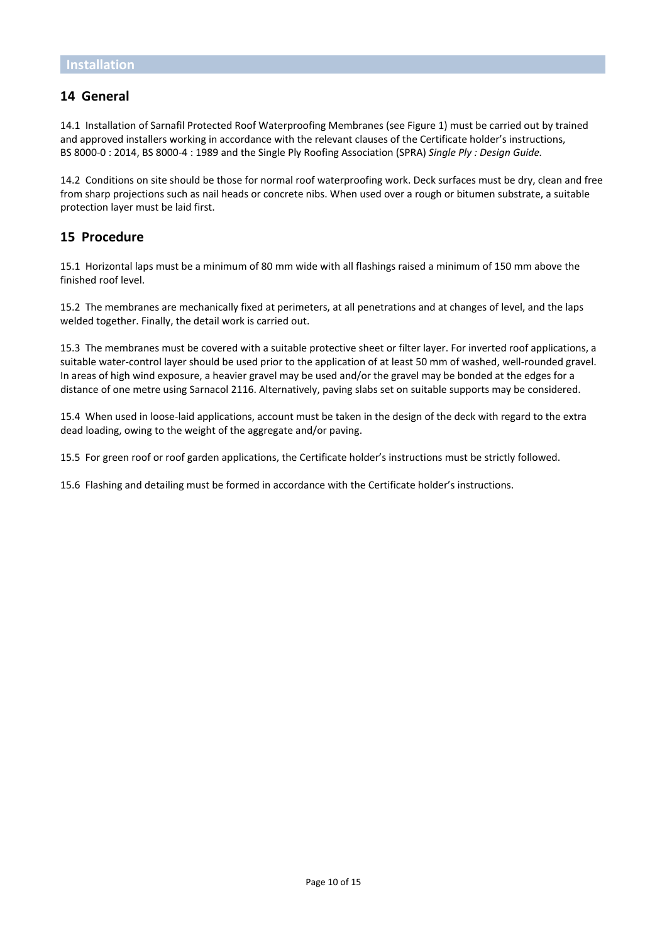### **14 General**

14.1 Installation of Sarnafil Protected Roof Waterproofing Membranes (see Figure 1) must be carried out by trained and approved installers working in accordance with the relevant clauses of the Certificate holder's instructions, BS 8000-0 : 2014, BS 8000-4 : 1989 and the Single Ply Roofing Association (SPRA) *Single Ply : Design Guide.*

14.2 Conditions on site should be those for normal roof waterproofing work. Deck surfaces must be dry, clean and free from sharp projections such as nail heads or concrete nibs. When used over a rough or bitumen substrate, a suitable protection layer must be laid first.

### **15 Procedure**

15.1 Horizontal laps must be a minimum of 80 mm wide with all flashings raised a minimum of 150 mm above the finished roof level.

15.2 The membranes are mechanically fixed at perimeters, at all penetrations and at changes of level, and the laps welded together. Finally, the detail work is carried out.

15.3 The membranes must be covered with a suitable protective sheet or filter layer. For inverted roof applications, a suitable water-control layer should be used prior to the application of at least 50 mm of washed, well-rounded gravel. In areas of high wind exposure, a heavier gravel may be used and/or the gravel may be bonded at the edges for a distance of one metre using Sarnacol 2116. Alternatively, paving slabs set on suitable supports may be considered.

15.4 When used in loose-laid applications, account must be taken in the design of the deck with regard to the extra dead loading, owing to the weight of the aggregate and/or paving.

15.5 For green roof or roof garden applications, the Certificate holder's instructions must be strictly followed.

15.6 Flashing and detailing must be formed in accordance with the Certificate holder's instructions.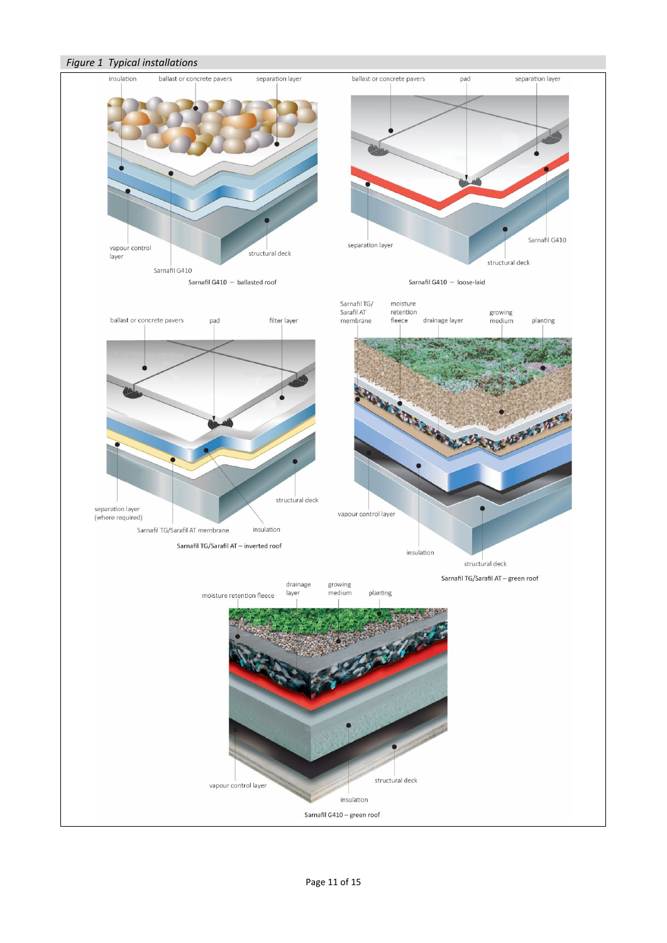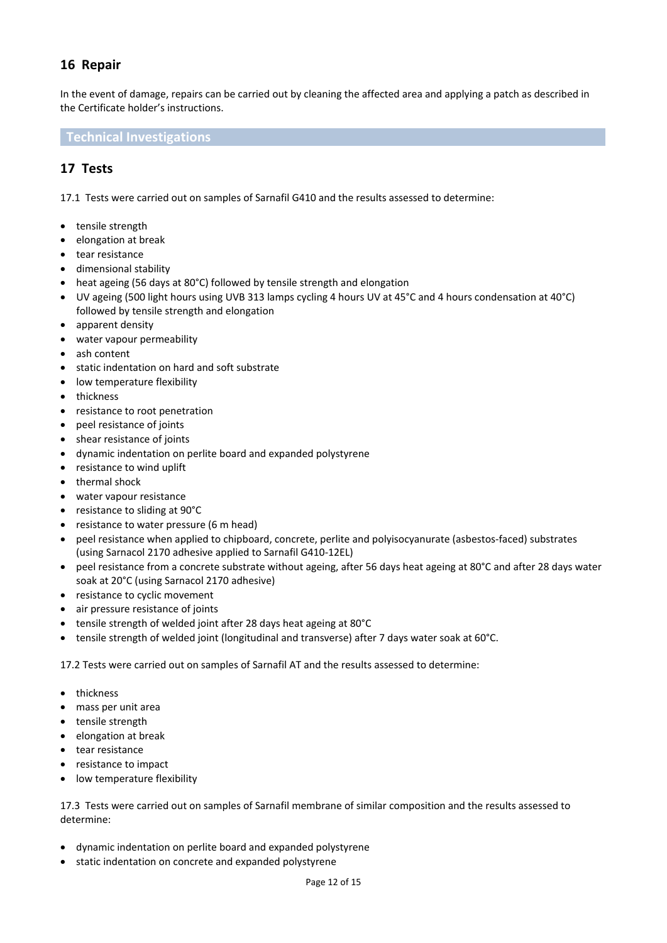# **16 Repair**

In the event of damage, repairs can be carried out by cleaning the affected area and applying a patch as described in the Certificate holder's instructions.

**Technical Investigations**

# **17 Tests**

17.1 Tests were carried out on samples of Sarnafil G410 and the results assessed to determine:

- tensile strength
- elongation at break
- tear resistance
- dimensional stability
- heat ageing (56 days at 80°C) followed by tensile strength and elongation
- UV ageing (500 light hours using UVB 313 lamps cycling 4 hours UV at 45°C and 4 hours condensation at 40°C) followed by tensile strength and elongation
- apparent density
- water vapour permeability
- ash content
- static indentation on hard and soft substrate
- low temperature flexibility
- thickness
- resistance to root penetration
- peel resistance of joints
- shear resistance of joints
- dynamic indentation on perlite board and expanded polystyrene
- resistance to wind uplift
- thermal shock
- water vapour resistance
- resistance to sliding at 90°C
- resistance to water pressure (6 m head)
- peel resistance when applied to chipboard, concrete, perlite and polyisocyanurate (asbestos-faced) substrates (using Sarnacol 2170 adhesive applied to Sarnafil G410-12EL)
- peel resistance from a concrete substrate without ageing, after 56 days heat ageing at 80°C and after 28 days water soak at 20°C (using Sarnacol 2170 adhesive)
- resistance to cyclic movement
- air pressure resistance of joints
- tensile strength of welded joint after 28 days heat ageing at 80°C
- tensile strength of welded joint (longitudinal and transverse) after 7 days water soak at 60°C.

17.2 Tests were carried out on samples of Sarnafil AT and the results assessed to determine:

- thickness
- mass per unit area
- tensile strength
- elongation at break
- tear resistance
- resistance to impact
- low temperature flexibility

17.3 Tests were carried out on samples of Sarnafil membrane of similar composition and the results assessed to determine:

- dynamic indentation on perlite board and expanded polystyrene
- static indentation on concrete and expanded polystyrene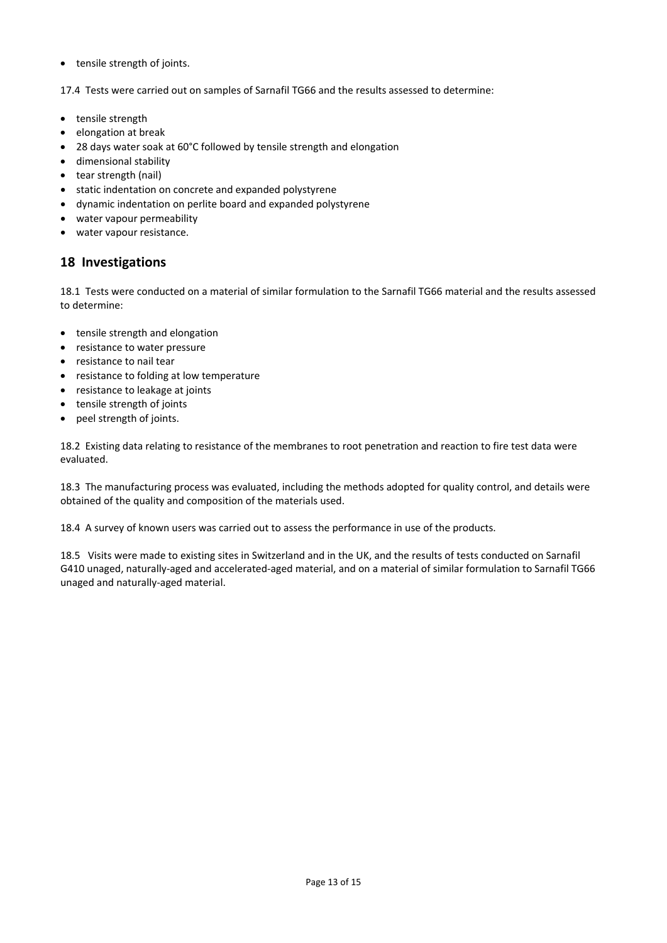• tensile strength of joints.

17.4 Tests were carried out on samples of Sarnafil TG66 and the results assessed to determine:

- tensile strength
- elongation at break
- 28 days water soak at 60°C followed by tensile strength and elongation
- dimensional stability
- tear strength (nail)
- static indentation on concrete and expanded polystyrene
- dynamic indentation on perlite board and expanded polystyrene
- water vapour permeability
- water vapour resistance.

# **18 Investigations**

18.1 Tests were conducted on a material of similar formulation to the Sarnafil TG66 material and the results assessed to determine:

- tensile strength and elongation
- resistance to water pressure
- resistance to nail tear
- resistance to folding at low temperature
- resistance to leakage at joints
- tensile strength of joints
- peel strength of joints.

18.2 Existing data relating to resistance of the membranes to root penetration and reaction to fire test data were evaluated.

18.3 The manufacturing process was evaluated, including the methods adopted for quality control, and details were obtained of the quality and composition of the materials used.

18.4 A survey of known users was carried out to assess the performance in use of the products.

18.5 Visits were made to existing sites in Switzerland and in the UK, and the results of tests conducted on Sarnafil G410 unaged, naturally-aged and accelerated-aged material, and on a material of similar formulation to Sarnafil TG66 unaged and naturally-aged material.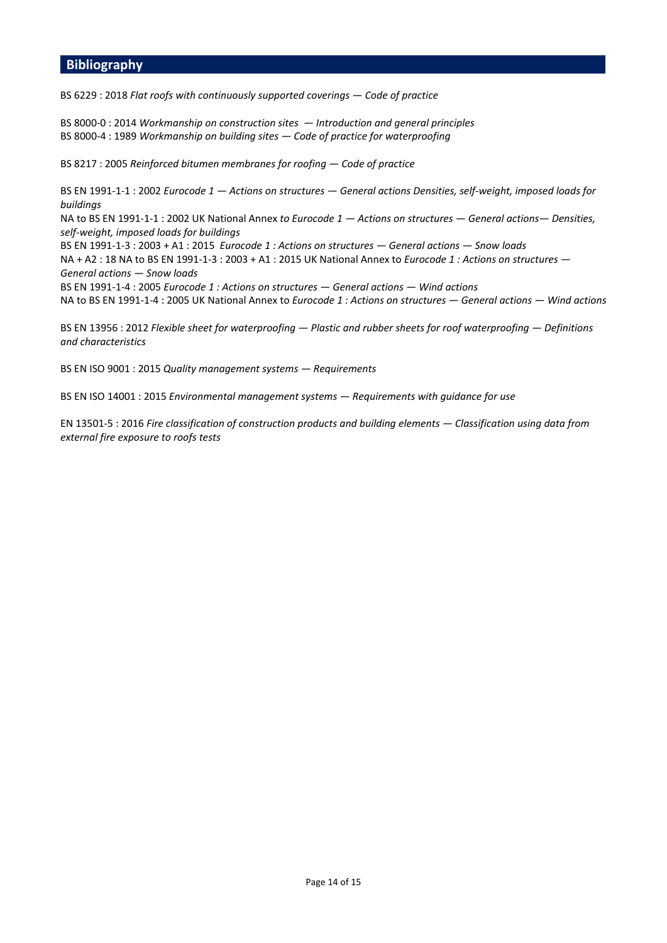### **Bibliography**

BS 6229 : 2018 *Flat roofs with continuously supported coverings — Code of practice*

BS 8000-0 : 2014 *Workmanship on construction sites  — Introduction and general principles* BS 8000-4 : 1989 *Workmanship on building sites — Code of practice for waterproofing*

BS 8217 : 2005 *Reinforced bitumen membranes for roofing — Code of practice*

BS EN 1991-1-1 : 2002 *Eurocode 1 — Actions on structures — General actions Densities, self-weight, imposed loads for buildings* 

NA to BS EN 1991-1-1 : 2002 UK National Annex *to Eurocode 1 — Actions on structures — General actions— Densities, self-weight, imposed loads for buildings*

BS EN 1991-1-3 : 2003 + A1 : 2015 *Eurocode 1 : Actions on structures — General actions — Snow loads*  NA + A2 : 18 NA to BS EN 1991-1-3 : 2003 + A1 : 2015 UK National Annex to *Eurocode 1 : Actions on structures — General actions — Snow loads* BS EN 1991-1-4 : 2005 *Eurocode 1 : Actions on structures — General actions — Wind actions*

NA to BS EN 1991-1-4 : 2005 UK National Annex to *Eurocode 1 : Actions on structures — General actions — Wind actions*

BS EN 13956 : 2012 *Flexible sheet for waterproofing — Plastic and rubber sheets for roof waterproofing — Definitions and characteristics*

BS EN ISO 9001 : 2015 *Quality management systems — Requirements*

BS EN ISO 14001 : 2015 *Environmental management systems — Requirements with guidance for use*

EN 13501-5 : 2016 *Fire classification of construction products and building elements — Classification using data from external fire exposure to roofs tests*